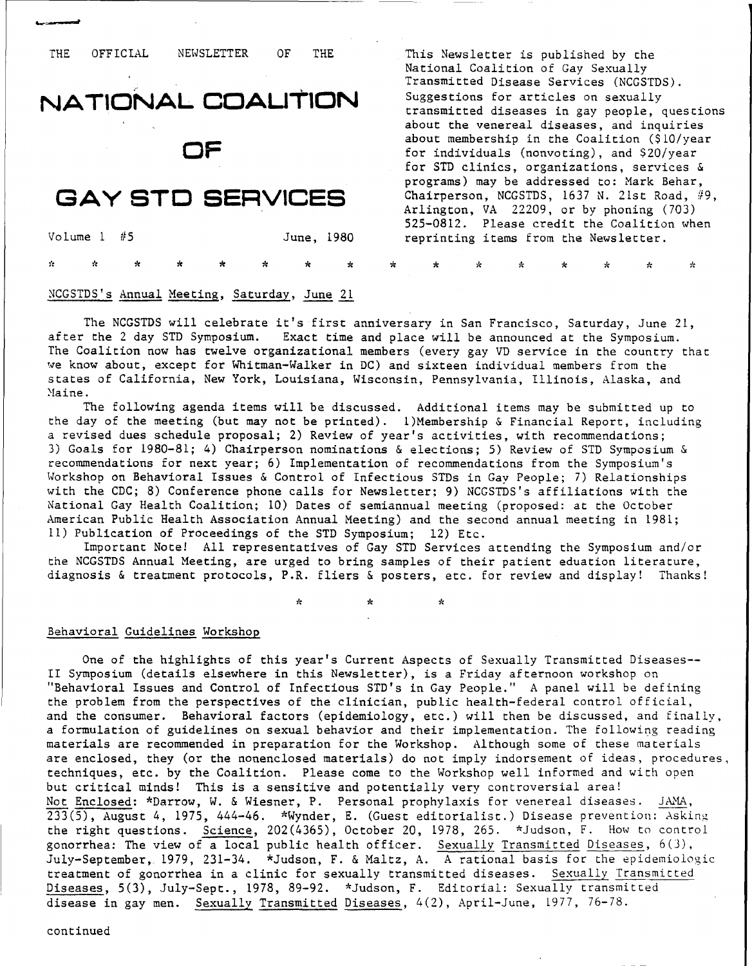#### THE THE OFFICIAL NEWSLETTER OF

# **NATl0NAL COAUT10N**

**OF**

# **GAY STC SERVICES**

Volume  $1$  #5 June, 1980 **,;':** \* \* \* \* \* \* \* \* \* \* \* \* \*

#### NCGSTDS's Annual Meeting, Saturday, June 11

The NCGSTDS will celebrate it's first anniversary in San Francisco, Saturday, June 21, after the 2 day STD Symposium. Exact time and place will be announced at the Symposium. The Coalition now has twelve organizational members (every gay VD service in the country that we know about, except for Whitman-Walker in DC) and sixteen individual members from the states of California, New York, Louisiana, Wisconsin, Pennsylvania, Illinois, Alaska, and Maine.

The following agenda items will be discussed. Additional items may be submitted up to the day of the meeting (but may not be printed). l)Membership & Financial Report, including a revised dues schedule proposal; 2) Review of year's activities, with recommendations; 3) Goals for 1980-81; 4) Chairperson nominations & elections; 5) Review of STD Symposium & recommendations for next year; 6) Implementation of recommendations from the Symposium's Workshop on Behavioral Issues & Control of Infectious STDs in Gay People; 7) Relationships with the CDC; 8) Conference phone calls for Newsletter: 9) NCGSTDS's affiliations with the National Gay Health Coalition; 10) Dates of semiannual meeting (proposed: at the October American Public Health Association Annual Meeting) and the second annual meeting in 1981; 11) Publication of Proceedings of the STD Symposium; 12) Etc.

Important Note! All representatives of Gay STD Services attending the Symposium and/or the NCGSTDS Annual Meeting, are urged to bring samples of their patient eduation literature, diagnosis & treatment protocols, P.R. fliers & posters, etc. for review and display! Thanks!

 $\star$  \*  $\star$ 

#### Behavioral Guidelines Workshop

One of the highlights of this year's Current Aspects of Sexually Transmitted Diseases-- II Symposium (details elsewhere in this Newsletter), is a Friday afternoon workshop on "Behavioral Issues and Control of Infectious STD's in Gay People." A panel will be defining the problem from the perspectives of the clinician, public health-federal control official, and the consumer. Behavioral factors (epidemiology, etc.) will then be discussed, and finally, a formulation of guidelines on sexual behavior and their implementation. The following reading materials are recommended in preparation for the Workshop. Although some of these materials are enclosed, they (or the nonenclosed materials) do not imply indorsement of ideas, procedures, techniques, etc. by the Coalition. Please come to the Workshop well informed and with open but critical minds! This is a sensitive and potentially very controversial area! Not Enclosed: \*Darrow, W. & Wiesner, P. Personal prophylaxis for venereal diseases. JAMA, 233(5), August 4, 1975, 444-46. \*Wynder, E. (Guest editorialist.) Disease prevention: Asking the right questions. Science, 202(4365), October 20, 1978, 265. \*Judson, F. How to control gonorrhea: The view of a local public health officer. Sexually Transmitted Diseases, 6(3), July-September, 1979, 231-34. \*Judson, F. & Maltz, A. A rational basis for the epidemiologic treatment of gonorrhea in a clinic for sexually transmitted diseases. Sexually Transmitted Diseases, 5(3), July-Sept., 1978, 89-92. \*Judson, F. Editorial: Sexually transmitted disease in gay men. Sexually Transmitted Diseases, 4(2), April-June, 1977, 76-78.

This Newsletter is published by the National Coalition of Gay Sexually Transmitted Disease Services (NCGSTDS). Suggestions for articles on sexually transmitted diseases in gay people, questions about the venereal diseases, and inquiries about membership in the Coalition (\$lO/year for individuals (nonvoting), and \$20/year for STD clinics, organizations, services & programs) may be addressed to: Mark Behar, Chairperson, NCGSTDS, 1637 N. 21st Road, #9, Arlington, *VA* 22209, or by phoning (703) 525-0812. Please credit the Coalition when reprinting items from the Newsletter.

 $\star$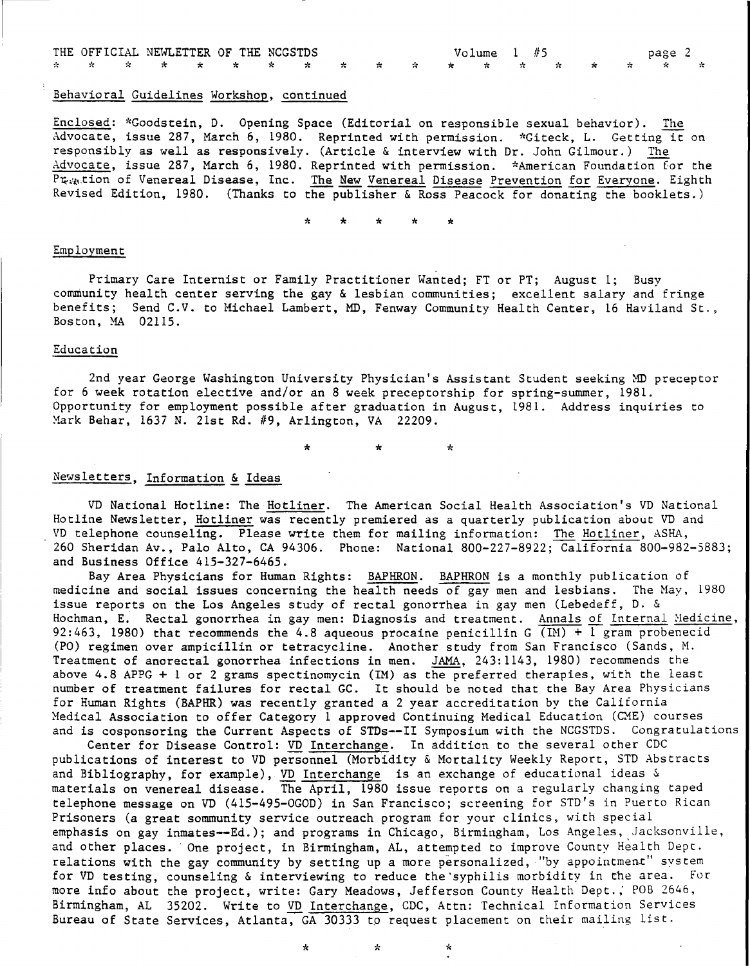|  |  | THE OFFICIAL NEWLETTER OF THE NCGSTDS   |  |  |  | Volume 1 #5 |  | page 2 |  |
|--|--|-----------------------------------------|--|--|--|-------------|--|--------|--|
|  |  | * * * * * * * * * * * * * * * * * * * * |  |  |  |             |  |        |  |

#### Behavioral Guidelines Workshop, continued

Enclosed: \*Goodstein, D. Opening Space (Editorial on responsible sexual behavior). The Advocate, issue 287, March 6, 1980. Reprinted with permission. \*Giteck, L. Getting it on responsibly as well as responsively. (Article & interview with Dr. John Gilmour.) The Advocate, issue 287, March 6, 1980. Reprinted with permission. \*American Foundation for the Pt<sub>ret</sub>tion of Venereal Disease, Inc. The New Venereal Disease Prevention for Everyone. Eighth Revised Edition, 1980. (Thanks to the publisher & Ross Peacock for donating the booklets.)

\* \* \* \* \*

#### Employment

Primary Care Internist or Family Practitioner Wanted; FT or PT; August 1; Busy community health center serving the gay & lesbian communities; excellent salary and fringe benefits; Send C.V. to Michael Lambert, MD, Fenway Community Health Center, 16 Haviland St., Boston, MA 02115.

#### Education

2nd year George Washington University Physician's Assistant Student seeking MD preceptor for 6 week rotation elective and/or an 8 week preceptorship for spring-summer, 1981. Opportunity for employment possible after graduation in August, 1981. Address inquiries to Mark Behar, 1637 N. 21st Rd. #9, Arlington, VA 22209.

\* \* \*

#### Newsletters, Information & Ideas

VD National Hotline: The Hotliner. The American Social Health Association's VD National Hotline Newsletter, Hotliner was recently premiered as a quarterly publication about VD and VD telephone counseling. Please write them for mailing information: The Hotliner, ASHA, 260 Sheridan Av., Palo Alto, CA 94306. Phone: National 800-227-8922; California 800-982-5883; and Business Office 415-327-6465.

Bay Area Physicians for Human Rights: BAPHRON. BAPHRON is a monthly publication of medicine and social issues concerning the health needs of gay men and lesbians. The May, 1980 issue reports on the Los Angeles study of rectal gonorrhea in gay men (Lebedeff, D. & Hochman, E. Rectal gonorrhea in gay men: Diagnosis and treatment. Annals of Internal Medicine, 92:463, 1980) that recommends the 4.8 aqueous procaine penicillin G  $\overline{(IM) + 1}$  gram probenecid (PO) regimen over ampicillin or tetracycline. Another study from San Francisco (Sands, M. Treatment of anorectal gonorrhea infections in men. JAMA, 243:1143, 1980) recommends the above 4.8 APPG + 1 or 2 grams spectinomycin (1M) as the preferred therapies, with the least number of treatment failures for rectal GC. It should be noted that the Bay Area Physicians for Human Rights (BAPHR) was recently granted a 2 year accreditation by the California Medical Association to offer Category 1 approved Continuing Medical Education (CME) courses and is cosponsoring the Current Aspects of STDs--II Symposium with the NCGSTDS. Congratulations

Center for Disease Control: VD Interchange. In addition to the several other CDC publications of interest to VD personnel (Morbidity & Mortality Weekly Report, STD Abstracts and Bibliography, for example), VD Interchange is an exchange of educational ideas & materials on venereal disease. The April, 1980 issue reports on a regularly changing taped telephone message on VD (415-495-0GOD) in San Francisco; screening for STD's in Puerto Rican Prisoners (a great sommunity service outreach program for your clinics, with special emphasis on gay inmates--Ed.); and programs in Chicago, Birmingham, Los Angeles, Jacksonville, and other places. One project, in Birmingham, AL, attempted to improve County Health Dept. relations with the gay community by setting up a more personalized, "by appointment" system for VD testing, counseling & interviewing to reduce the'syphilis morbidity in the area. For more info about the project, write: Gary Meadows, Jefferson County Health Dept.; POB 2646, Birmingham, AL 35202. Write to VD Interchange, CDC, Attn: Technical Information Services Bureau of State Services, Atlanta, GA 30333 to request placement on their mailing list.

\* \* \*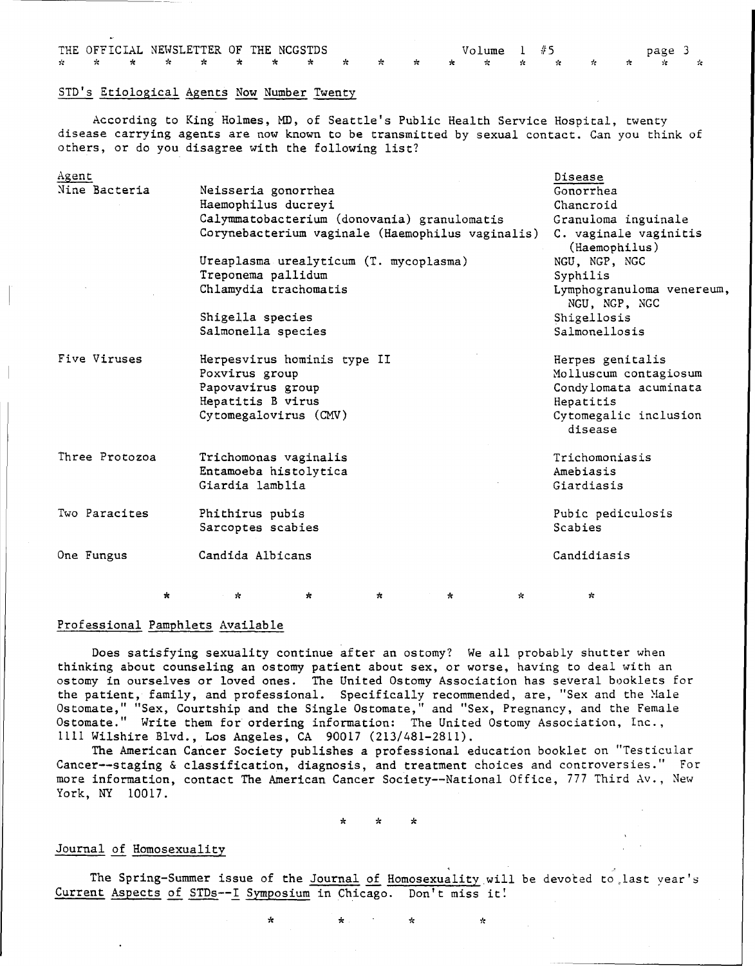|  |  |  | THE OFFICIAL NEWSLETTER OF THE NCGSTDS |  |  | Volume 1 #5                           |  |  | page 3 |  |
|--|--|--|----------------------------------------|--|--|---------------------------------------|--|--|--------|--|
|  |  |  |                                        |  |  | * * * * * * * * * * * * * * * * * * * |  |  |        |  |

#### STD's Etiological Agents Now Number Twenty

According to King Holmes, MD, of Seattle's Public Health Service Hospital, twenty disease carrying agents are now known to be transmitted by sexual contact. Can you think of others, or do you disagree with the following list?

| Agent<br>Nine Bacteria |         | Neisseria gonorrhea<br>Haemophilus ducreyi<br>Treponema pallidum<br>Shigella species<br>Salmonella species | Calymmatobacterium (donovania) granulomatis<br>Corynebacterium vaginale (Haemophilus vaginalis)<br>Ureaplasma urealyticum (T. mycoplasma)<br>Chlamydia trachomatis |         |    |           | Disease<br>Gonorrhea<br>Chancroid<br>Granuloma inguinale<br>C. vaginale vaginitis<br>(Haemophilus)<br>NGU, NGP, NGC<br>Syphilis<br>Lymphogranuloma venereum,<br>NGU, NGP, NGC<br>Shigellosis<br>Salmonellosis |  |
|------------------------|---------|------------------------------------------------------------------------------------------------------------|--------------------------------------------------------------------------------------------------------------------------------------------------------------------|---------|----|-----------|---------------------------------------------------------------------------------------------------------------------------------------------------------------------------------------------------------------|--|
| Five Viruses           |         | Poxvirus group<br>Papovavirus group<br>Hepatitis B virus                                                   | Herpesvirus hominis type II<br>Cytomegalovirus (CMV)                                                                                                               |         |    |           | Herpes genitalis<br>Molluscum contagiosum<br>Condylomata acuminata<br>Hepatitis<br>Cytomegalic inclusion<br>disease                                                                                           |  |
| Three Protozoa         |         | Giardia lamblia                                                                                            | Trichomonas vaginalis<br>Entamoeba histolytica                                                                                                                     |         |    |           | Trichomoniasis<br>Amebiasis<br>Giardiasis                                                                                                                                                                     |  |
| Two Paracites          |         | Phithirus pubis<br>Sarcoptes scabies                                                                       |                                                                                                                                                                    |         |    |           | Pubic pediculosis<br>Scabies                                                                                                                                                                                  |  |
| One Fungus             |         | Candida Albicans                                                                                           |                                                                                                                                                                    |         |    |           | Candidiasis                                                                                                                                                                                                   |  |
|                        | $\star$ | ☆                                                                                                          | *                                                                                                                                                                  | $\star$ | ÷. | $\approx$ | $\mathcal{R}$                                                                                                                                                                                                 |  |

#### Professional Pamphlets Available

Does satisfying sexuality continue after an ostomy? We all probably shutter when thinking about counseling an ostomy patient about sex, or worse, having to deal with an ostomy in ourselves or loved ones. The United Ostomy Association has several booklets for the patient, family, and professional. Specifically recommended, are, "Sex and the Male Ostomate," "Sex, Courtship and the Single Ostomate," and "Sex, Pregnancy, and the Female Ostomate." Write them for ordering information: The United Ostomy Association, Inc., 1111 Wilshire Blvd., Los Angeles, CA 90017 (213/481-2811).

The American Cancer Society publishes a professional education booklet on "Testicular Cancer--staging & classification, diagnosis, and treatment choices and controversies." For more information, contact The American Cancer Society--National Office, 777 Third Av., New York, NY 10017.

\* \* \*

#### Journal of Homosexuality

The Spring-Summer issue of the Journal of Homosexuality will be devoted to last year's Current Aspects of STDs--I Symposium in Chicago. Don't miss it!

\* \* \* \*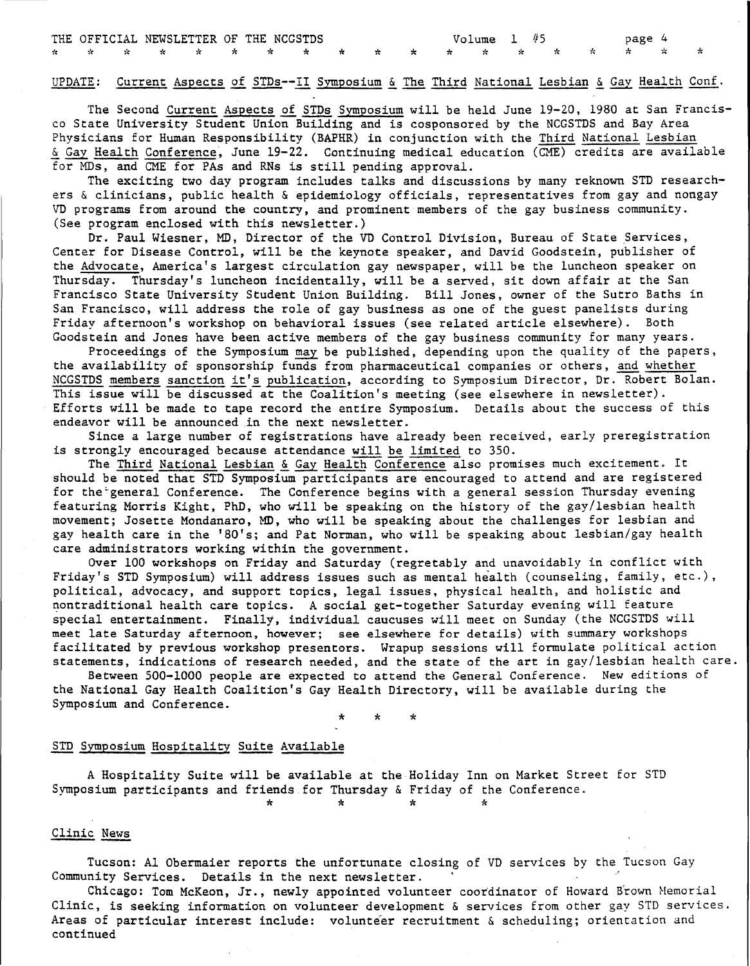#### UPDATE: Current Aspects of STDs--II Symposium & The Third National Lesbian & Gay Health Conf.

The Second Current Aspects of STDs Symposium will be held June 19-20, 1980 at San Francisco State University Student Union Building and is cosponsored by the NCGSTDS and Bay Area Physicians for Human Responsibility (BAPHR) in conjunction with the Third National Lesbian Gay Health Conference, June 19-22. Continuing medical education (CME) credits are available for MOs, and CME for PAs and RNs is still pending approval.

The exciting two day program includes talks and discussions by many reknown STD researchers & clinicians, public health & epidemiology officials, representatives from gay and nongay VD programs from around the country, and prominent members of the gay business community. (See program enclosed with this newsletter.)

Dr. Paul Wiesner, MD, Director of the VD Control Division, Bureau of State Services, Center for Disease Control, will be the keynote speaker, and David Goodstein, publisher of the Advocate, America's largest circulation gay newspaper, will be the luncheon speaker on Thursday. Thursday's luncheon incidentally, will be <sup>a</sup> served, sit down affair at the San Francisco State University Student Union Building. Bill Jones, owner of the Sutro Baths in San Francisco, will address the role of gay business as one of the guest panelists during Friday afternoon's workshop on behavioral issues (see related article elsewhere). Both Goodstein and Jones have been active members of the gay business community for many years.

Proceedings of the Symposium may be published, depending upon the quality of the papers, the availability of sponsorship funds from pharmaceutical companies or others, and whether NCGSTDS members sanction it's publication, according to Symposium Director, Dr. Robert Bolan. This issue will be discussed at the Coalition's meeting (see elsewhere in newsletter). Efforts will be made to tape record the entire Symposium. Details about the success of this endeavor will be announced in the next newsletter.

Since a large number of registrations have already been received, early preregistration is strongly encouraged because attendance will be limited to 350.

The Third National Lesbian & Gay Health Conference also promises much excitement. It should be noted that STD Symposium participants are encouraged to attend and are registered for the"general Conference. The Conference begins with a general session Thursday evening featuring Morris Kight, PhD, who will be speaking on the history of the gay/lesbian health movement; Josette Mondanaro, MD, who will be speaking about the challenges for lesbian and gay health care in the '80's; and Pat Norman, who will be speaking about lesbian/gay health care administrators working within the government.

Over 100 workshops on Friday and Saturday (regretably and unavoidably in conflict with Friday's STD Symposium) will address issues such as mental health (counseling, family, etc.), political, advocacy, and support topics, legal issues, physical health, and holistic and nontraditional health care topics. A social get-together Saturday evening will feature special entertainment. Finally, individual caucuses will meet on Sunday (the NCGSTDS will meet late Saturday afternoon, however; see elsewhere for details) with summary workshops facilitated by previous workshop presentors. Wrapup sessions will formulate political action statements, indications of research needed, and the state of the art in gay/lesbian health care.

Between 500-1000 people are expected to attend the General Conference. New editions of the National Gay Health Coalition's Gay Health Directory, will be available during the Symposium and Conference.

> \* \* \*

#### STD Symposium Hospitality Suite Available

A Hospitality Suite will be available at the Holiday Inn on Market Street for STD Symposium participants and friends for Thursday & Friday of the Conference.  $\star$  \*  $\star$  \*  $\star$ 

#### Clinic News

Tucson: Al Obermaier reports the unfortunate closing of VD services by the Tucson Gay Community Services. Details in the next newsletter.

Chicago: Tom McKeon, Jr., newly appointed volunteer coordinator of Howard Brown Hemorial Clinic, is seeking information on volunteer development  $\&$  services from other gay STD services. Areas of particular interest include: volunteer recruitment & scheduling; orientation and continued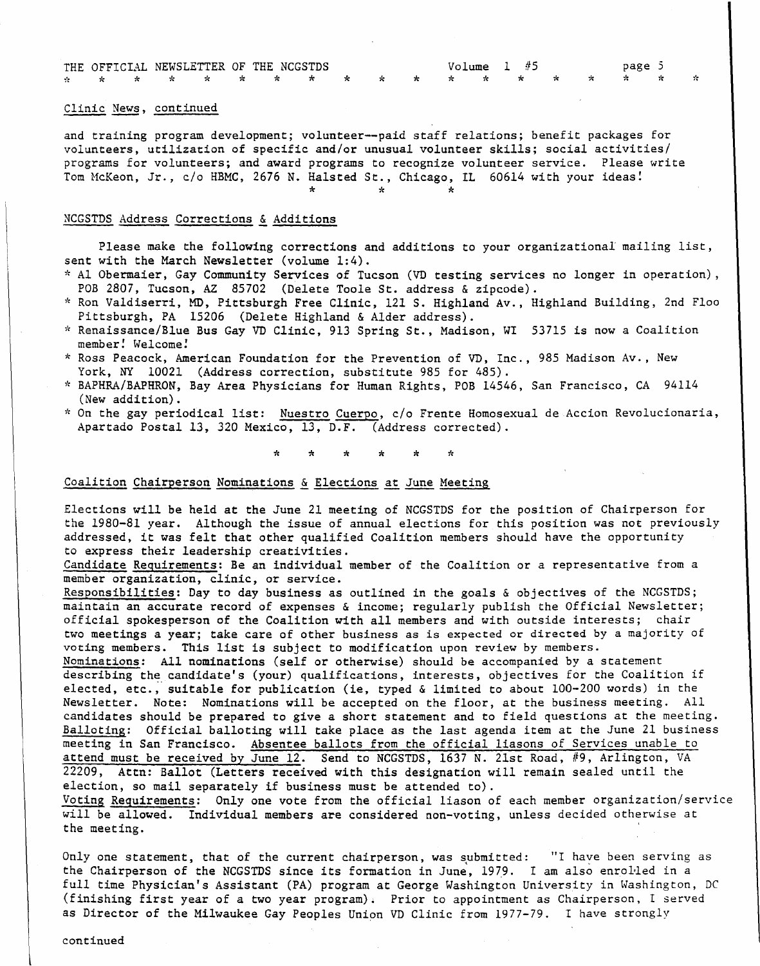|  |  |  | THE OFFICIAL NEWSLETTER OF THE NCGSTDS |  |  | Volume 1 #5 |  | page 5 |  |
|--|--|--|----------------------------------------|--|--|-------------|--|--------|--|
|  |  |  | * * * * * * * * * * * * * * * * * * *  |  |  |             |  |        |  |

#### Clinic News, continued

and training program development; volunteer--paid staff relations; benefit packages for volunteers, utilization of specific and/or unusual volunteer skills; social activities/ programs for volunteers; and award programs to recognize volunteer service. Please write Tom McKeon, Jr., c/o HBMC, 2676 N. Halsted St., Chicago, IL 60614 with your ideas!

\* \* \*

#### NCGSTDS Address Corrections & Additions

Please make the following corrections and additions to your organizational mailing list, sent with the March Newsletter (volume 1:4).

- \* Al Obermaier, Gay Community Services of Tucson (VD testing services no longer in operation) , POB 2807, Tucson, AZ 85702 (Delete Toole St. address & zipcode).
- \* Ron Valdiserri, MD, Pittsburgh Free Clinic, 121 S. Highland Av., Highland Building, 2nd Floo Pittsburgh, PA 15206 (Delete Highland & Alder address).
- \* Renaissance/Blue Bus Gay VD Clinic, <sup>913</sup> Spring St., Madison, WI <sup>53715</sup> is now <sup>a</sup> Coalition member! Welcome!
- \* Ross Peacock, American Foundation for the Prevention of VD, Inc., 985 Madison Av., New York, NY 10021 (Address correction, substitute 985 for 485).
- \* BAPHRA/BAPHRON, Bay Area Physicians for Human Rights, POB 14546, San Francisco, CA <sup>94114</sup> (New addition).
- \* On the gay periodical list: Nuestro Cuerpo, *c/o* Frente Homosexual de Accion Revolucionaria, Apartado Postal 13, 320 Mexico, 13, D.F. (Address corrected).

\* \* \* \* \*

#### Coalition Chairperson Nominations & Elections at June Meeting

Elections will be held at the June 21 meeting of NCGSTDS for the position of Chairperson for the 1980-81 year. Although the issue of annual elections for this position was not previously addressed, it was felt that other qualified Coalition members should have the opportunity to express their leadership creativities.

Candidate Requirements: Be an individual member of the Coalition or a representative from a member organization, clinic, or service.

Responsibilities: Day to day business as outlined in the goals & objectives of the NCGSTDS; maintain an accurate record of expenses & income; regularly publish the Official Newsletter; official spokesperson of the Coalition with all members and with outside interests; chair two meetings a year; take care of other business as is expected or directed by a majority of voting members. This list is subject to modification upon review by members.

Nominations: *All* nominations (self or otherwise) should be accompanied by a statement describing the candidate's (your) qualifications, interests, objectives for the Coalition if elected, etc., suitable for publication (ie, typed & limited to about 100-200 words) in the Newsletter. Note: Nominations will be accepted on the floor, at the business meeting. All candidates should be prepared to give a short statement and to field questions at the meeting. Balloting: Official balloting will take place as the last agenda item at the June 21 business meeting in San Francisco. Absentee ballots from the official liasons of Services unable to attend must be received by June 12. Send to NCGSTDS, 1637 N. 21st Road, #9, Arlington, VA 22209, Attn: Ballot (Letters received with this designation will *remain* sealed until the election, so mail separately if business must be attended to).

Voting Requirements: Only one vote from the official liason of each member organization/service will be allowed. Individual members are considered non-voting, unless decided otherwise at the meeting.

Only one statement, that of the current chairperson, was submitted: "I have been serving as the Chairperson of the NCGSTDS since its formation in June, 1979. I am also enrolled in a full time Physician's Assistant (PA) program at George Washington University in Washington, DC (finishing first year of a two year program). Prior to appointment as Chairperson, I served as Director of the Milwaukee Gay Peoples Union VD Clinic from 1977-79. I have strongly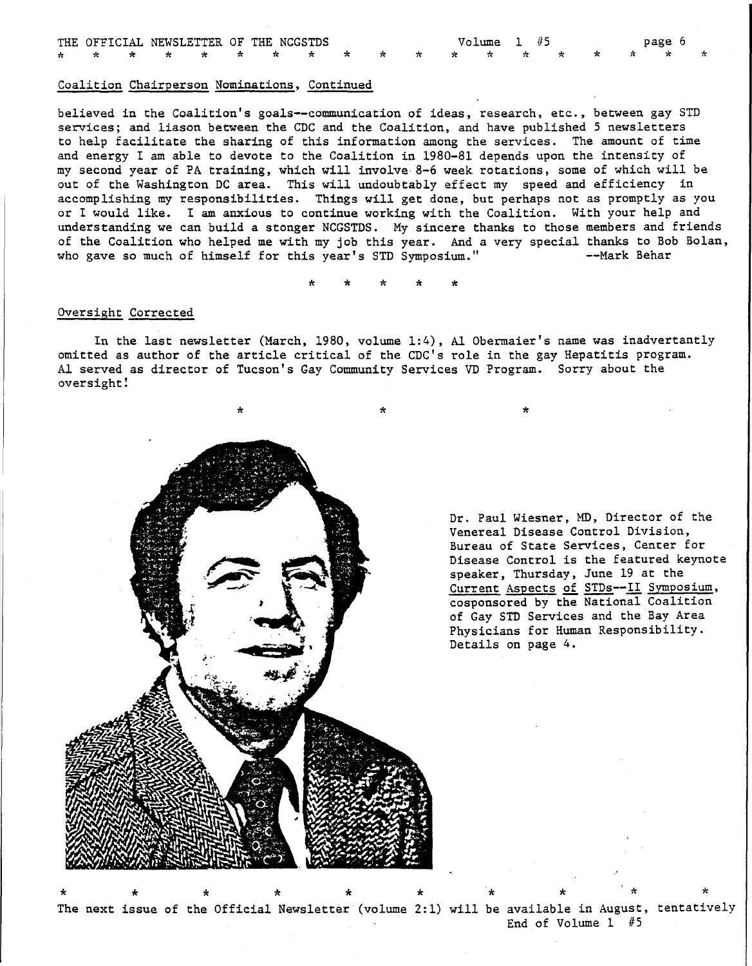|  |  |  | THE OFFICIAL NEWSLETTER OF THE NCGSTDS |  |  | Volume 1 #5 |  |  | page 6 |  |
|--|--|--|----------------------------------------|--|--|-------------|--|--|--------|--|
|  |  |  | * * * * * * * * * * * * * * * * * * *  |  |  |             |  |  |        |  |

#### Coalition Chairperson Nominations. Continued

believed in the Coalition's goals--communication of ideas, research, etc., between gay STD services; and liason between the CDC and the Coalition, and have published 5 newsletters to help facilitate the sharing of this information among the services. The amount of time and energy I am able to devote to the Coalition in 1980-81 depends upon the intensity of my second year of PA training, which will involve· 8-6 week rotations, some of which will be out of the Washington DC area. This will undoubtably effect my speed and efficiency in accomplishing my responsibilities. Things will get done, but perhaps not as promptly as you or I would like. I am anxious to continue working with the Coalition. With your help and understanding we can build a stonger NCGSIDS. My sincere thanks to those members and friends of the Coalition who helped me with my job this year. And a very special thanks to Bob Bolan,<br>who gave so much of himself for this year's STD Symposium." --Mark Behar who gave so much of himself for this year's STD Symposium."

\* \* \* \* \*

#### Oversight Corrected

In the last newsletter (March. 1980, volume 1:4), Al Obermaier's name was inadvertantly omitted as author of the article critical of the CDC's role in the gay Hepatitis program. Al served as director of Tucson's Gay Community Services VD Program. Sorry about the oversight!



Dr. Paul Wiesner, MD, Director of the Venereal Disease Control Division, Bureau of State Services, Center for Disease Control is the featured keynote speaker, Thursday, June 19 at the Current Aspects of STDs--II Symposium, cosponsored by the National Coalition of Gay SID Services and the Bay Area Physicians for Human Responsibility. Details on page 4.

End of Volume 1 #5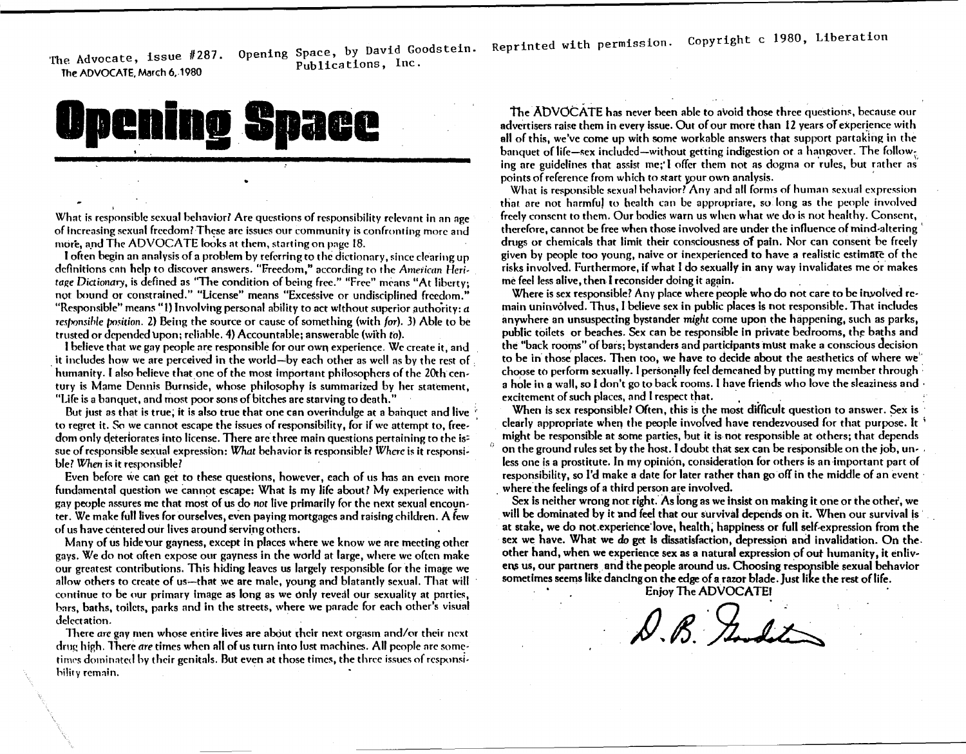The Advocate, issue #287. Opening Space, by David Goodstein.<br>Rubiications Inc. The ADVOCATE, March 6.1980 publications, Inc.

Reprinted with permission. Copyright <sup>c</sup> 1980, Liberation

# **Upening Space**

,

What is responsible sexual behavior? Are questions of responsibility relevant in an age of increasing sexual freedom? These are issues our community is confronting more and more, and The ADVOCATE looks at them, starting on page 18.

I often begin an analysis of a problem by referring to the dictionary, since clearing up definitions cnh help to discover answers. "F.reedom," according to the *American* Heri*tage Dictionary*, is defined as "The condition of being free." "Free" means "At liberty; not bound or constrained." "License" means "Excessive or undisciplined freedom." "Responsible" means "1) Involving personal ability to act without superior authority:  $a$ restonsible position. 2) Being the source or cause of something (with *for*). 3) Able to be trusted or depended upon; reliable. 4) Accountable; answerable (with to).

I believe that we gay people nre responsible for our own experience. We create it, and it includes how we are perceived in the world--by each other as well as by the rest of humanity. I also believe that one of the most important philosophers of the 20th century is Marne Dennis Burnside, whose philosophy <sup>15</sup> summarized by her statement, "Ufe is a banquet, and most poor sons of bitches are starving to death."

But just as that is true, it is also true that one can overindulge at a banquet and live to regret it. So we cannot escape the issues of responsibility, for if we attempt to, freedom only deteriorates into license. There are three main questions pertaining to the is: sue of responsible sexual expression: *What* behavior is responsible? *Where* is it responsible? *When* is it responsible?

Even before we can get to these questions, however, each of us has an even more fundamental question we cannot escape: What Is my life about? My experience with gay people assures me that most of us do not live primarily for the next sexual encounter. We make full lives for ourselves, even paying mortgages and raising children. A few of us have centered our lives around serving others.

Many of us hide our gayness, except in places where we know we are meeting other gays. We do not often expose our gayness in the world at large, where we often make our greatest contributions. This hiding leaves us largely responsible for the image we allow others to create of us---that we are male, young and blatantly sexual. That will continue to be our primary image as long as we only reveal our sexuality at parties, bars, baths, toilets, parks and in the streets, where we parade for each other's visual delectation.

There *are* gay men whose entire lives are about their next orgasm and/or their next drug high. There *are* times when all of us turn into lust machines. All people nrc sometimes dominated by their genitals. But even at those times, the three issues of responsihility remain. .

the AbVOCATE has never been able to avoid those three questions, because our advertisers raise them in every issue. Out of our more than 12 years of experience with all ofthis, we've come up with some workable answers that support partaking in the banquet of life-sex included-without getting indigestion or a hangover. The following are guidelines that assist me;'I offer them not as dogma or rules, but rather as points of reference from which to start your own analysis.

Whnt is respomible sexual hehavior7 Any and all forms of human sexual expression that are not harmful to health can be appropriare, so long as the people involved freely consent to them. Our bodies warn us when what \\'e do is not healthy. Consent, therefore, cannot be free whcn those involved are under the influence of mind-altering' drugs or chemicals that limit their consciousness of pain. Nor can consent he freely given by people too young, naive or inexperienced to have a realistic estimate of the risks involved. Furthermore, if what I do sexually in any way invalidates me or makes me feel less alive, then I reconsider doing it aga risks involved. Furthermore, if what I do sexually in any way invalidates me or makes

Where is sex responsible? Any place where people who do not care to be involved remain uninvolved. Thus,l believe sex in public places is not responsible. That includes anywhere an unsuspecting bystander *might* come upon the happening, such as parks, public toilets or beaches. Sex can be responsible in private bedrooms, the baths and the "back rooms" of bars; bystanders and participants must make a conscious decision to be in those places. Then too, we have to decide about the aesthetics of where we" choose to perform sexually. I personally feel demeaned by putting my member through a hole in a wall, 50 I don't go to back rooms. I have friends who love the sleaziness and· excitement of such places, and I respect that.

When is sex responsible? Often, this is the most difficult question to answer. Sex is clearly appropriate when the people involved have rendezvoused for that purpose. It . might be responsihle at some parties, but it is not responsible at others; that depends on the ground rules set by the host. I doubt that sex can be responsible on the job, unless one is a prostitute. In my opinion, consideration for others is an important part of responsibility, so I'd make a date for later rather than go off in the middle of an event where the feelings of a third person are involved.

Sex is neither wrong not right. As long as we insist on making it one or the other, we will be dominated by it and feel that our survival depends on it. When our survival is at stake, we do not.experiehce'love, health; happiness or full self-expression from the sex we have. What we do get is dissatisfaction, depression and invalidation. On the other hand, when we experience sex as a natural expression of out humanity, it enlivens us, our partners and the people around us. Choosing responsible sexual behavior sometimes seems like dancing on the edge of a razor blade. Just like the rest of life.

Enjoy The ADVOCATEI

 $R$   $H$   $dx$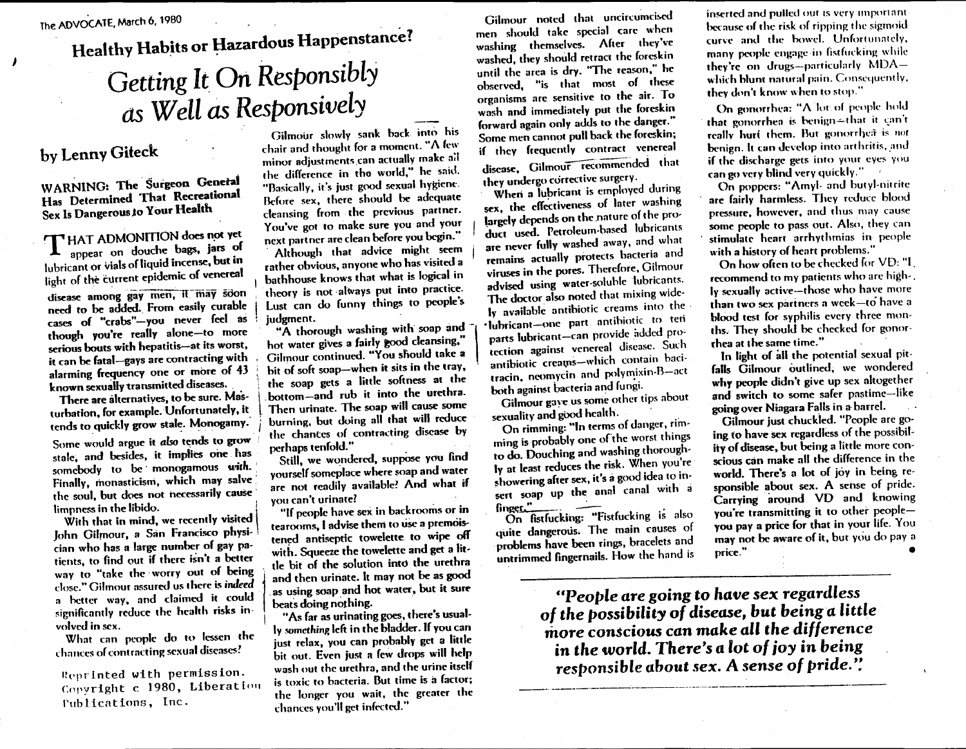# Healthy Habits or Hazardous Happenstance? *Getting* It On *Responsibly as Well as Responsively*

\

## by Lenny Giteck

J

WARNING: The Surgeon General Has Determined That Recreational Sex Is Dangerous to Your Health

T HAT ADMONITION does not yet appear on douche bags, jars of lubricant or vials of liquid incense, but in light of the current epidemic of venereal

disease among gay men, it may soon need to be added. From easily curable cases of "crabs"-you never feel as though you're really alone-to more serious bouts with hepatitis-at its worst, it can be fatal-gays are contracting with alarming frequency one or more of 43 known sexually transmitted diseases.

There are alternatiyes, to be sure. Masturbation, for example. Unfortunately, it tends to quickly grow stale. Monogamy.

Some would argue it *also* tends to grow stale, and besides, it implies one has somebody to be monogamous with. Finally, monasticism, which may salve' the soul, but does not necessarily cause limpness in the libido. !

With that in mind, we recently visited John Gilmour, a San Francisco physician who has a large number of gay patients, to find out if there isn't a better way to "take the' worry out of being close." Gilmour assured us there is indeed a hctter way, and claimed it could significantly reduce the health risks involved in sex.

What can people do to lessen the chances of contracting sexual diseases?

Reprinted with permission. Copyright c 1980, Liberation Tublications, Inc.

Gilmour slowly sank back into his chair and thought for a moment. "A few minor adjustments can actually make all the difference in tho world," he said. "Basically, it's just good sexual hygiene. Before sex, there should be adequate cleansing from the previous partner. You've got to make sure you and your next partner are clean before you begin."

, Although that advice might seem rather obvious, anyone who has visited a bathhouse knows that what is logical in theory is not always put into practice. Lust can do funny things to people's judgment.

"A thorough washing with soap and hot water gives a fairly good cleansing." Gilmour continued. "You should take a bit of soft soap-when it sits in the tray. the soap gets a little softness at the .bottom-and rub it into the urethra. , Then urinate. The soap will cause some burning, but doing all that will reduce the chantes of contracting disease by perhaps tenfold."

Still, we wondered, suppose you find yourself someplace where soap and water are not readily available? And what if you can't urinate?

"If people have sex in backrooms or in tearooms, I advise them to use a premoistened antiseptic towelette to wipe off with. Squeeze the towelette and get a little bit of the solution into the urethra and then urinate. It may not be as good ,as using soap and hot water. but it sure beats doing nothing.

"As far as urinating goes, there's usually something left in the bladder. If you can just relax, you can probably get a little bit out. Even just a few drops will help wash out the urethra, and the urine itself is toxic to bacteria. But time is a factor; the longer you wait, the greater the chances you'll get infected."

Gilmour noted that uncircumcised men should take special care when washing themselves. After they've washed. they should retract thc foreskin until the area is dry. "The reason:' hc observed, "is that most of these organisms arc sensitive to the air. To wash and immediately put the foreskin forward again only adds to the danger." Some men cannot pull back the foreskin; if they frequently contract venereal disease, Gilmour recommended that they undergo corrective surgery.

When a lubricant is employed during sex, the effectiveness of later washing largely depends on the nature of the product used. Petroleum-based lubricants are never fully washed away, and what remains actually protects hacteria and viruses in the pores. Therefore, Gilmour advised using water-soluble lubricants. The doctor also noted that mixing widely available antihiotic creams into the, 'Iuhricant-one part antihiotic to tell parts lubricant-can provide added pro' tcetion against venereal disease. Such antibiotic creams-which contain bacitracin, neomycin and polymixin-A-act both against bacteria and fungi.

Gilmour gaye us some other tips about sexuality and good health.

On rimming: "In terms of danger, rimming is probably one of the worst things to do. Douching and washing thorough-Iy at least reduces the risk. When you're showering after sex, it's a good idea to insert soap up the anal canal with a<br>finger."<br>On fistfucking: "Fistfucking is also

quite dangerous. The main causes of problems have been rings, bracelets and untrimmed fingernails. How the hand is

---\_.----\_.\_----------\_..\_-

inserted and pulled out is very important because of the risk of ripping the sigmoid curve and the bowel. Unfortunately, many people engage in fistfucking while they're on drugs-particularly MDA which blunt natural pain. Consequently, they don't know when to stop."

On gonorrhea: "A'lot of people hold that gonorrhea is benign-that it can't really huri them. But gonorrhea is not benign. It can develop into arthritis, and if the discharge gets into your eyes you can go very blind very quickly,"

On poppers: "Amyl- and butyl-nitrite are fairly harmless. They reduce blood pressure, howcver, and thus may cause some people to pass out. Also, they can stimulate heart arrhythmias in people with a history of heatt problems."

On how often to be checked for VD: "I. recommend to my patients who are high-. Iy sexually active-those who have more than two sex partners a week-to have a blood test for syphilis every three months. They should be checked for gonor thea at the same time."

In light of all the potential sexual pit. falls Gilmour outlined, we wondered why people didn't give up sex altogether and switch to some safer pastime-like going over Niagara Falls in a barrel.

Gilmour just chuckied. "People are going to have sex regardless of the possibiliiy of disease, but being a little more conscious can make all the difference in the world. There's a lot of joy in being responsible about sex. A sense of pride. Carrying around VO and knowing you're transmitting it to other peopleyou pay a price for that in your life. You may not be aware of it, but you do pay a price." •

HPeople *are* going to *have sex regardless* of *the* possibility of disease, *but* being *a little* more conscious *can make all the* difference in *the world.* There's *a lot* ofjoy in being *responsible about sex.* A *sense* of *pride,':*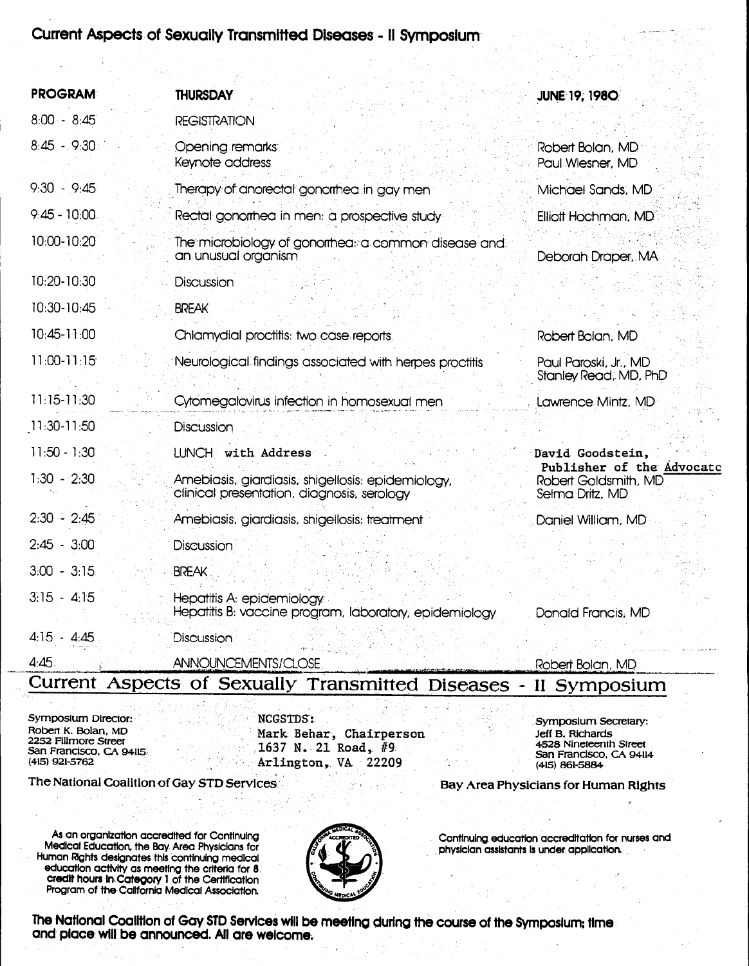### Current Aspects. of·Sexually Transmitted Diseases - II sYmposium

| <b>PROGRAM</b>  | <b>THURSDAY</b>                                                                                 | <b>JUNE 19, 1980</b>                                                 |
|-----------------|-------------------------------------------------------------------------------------------------|----------------------------------------------------------------------|
| $8:00 - 8:45$   | <b>REGISTRATION</b>                                                                             |                                                                      |
| $8:45 - 9:30$   | Opening remarks<br>Keynote address                                                              | Robert Bolan, MD<br>Paul Wiesner, MD                                 |
| $9:30 - 9:45$   | Therapy of anorectal gonomea in gay men                                                         | Michael Sands, MD.                                                   |
| $9:45 - 10:00.$ | Rectal gonomea in men: a prospective study                                                      | Elliott Hochman, MD                                                  |
| 10:00-10:20     | The microbiology of gonormeal a common disease and<br>an unusual organism                       | Deborah Draper, MA                                                   |
| 10:20-10:30     | Discussion                                                                                      |                                                                      |
| 10:30-10:45     | <b>BREAK</b>                                                                                    |                                                                      |
| 10:45-11:00     | Chlamydial proctitis: two case reports                                                          | Robert Bolan, MD                                                     |
| $11:00 - 11:15$ | Neurological findings associated with herpes proctitis                                          | Paul Paroski, Jr., MD<br>Stanley Read, MD, PhD                       |
| $11:15-11:30$   | Cytomegalovirus infection in homosexual men                                                     | Lawrence Mintz, MD                                                   |
| 11:30-11:50     | Discussion                                                                                      |                                                                      |
| $11:50 - 1:30$  | LUNCH with Address                                                                              | David Goodstein,                                                     |
| $1:30 - 2:30$   | Amebiasis, giardiasis, shigellosis: epidemiology,<br>clinical presentation, diagnosis, serology | Publisher of the Advocato<br>Robert Goldsmith, MD<br>Selma Dritz, MD |
| $2:30 - 2:45$   | Amebiasis, giardiasis, shigellosis; treatment                                                   | Daniel William, MD                                                   |
| $2:45 - 3:00$   | Discussion                                                                                      |                                                                      |
| $3.00 - 3.15$   | <b>BREAK</b>                                                                                    |                                                                      |
| $3:15 - 4:15$   | Hepatitis A: epidemiology<br>Hepatitis B: vaccine program, laboratory, epidemiology             | Donald Francis, MD                                                   |
| $4:15 - 4:45$   | Discussion                                                                                      |                                                                      |
| 4:45.           | ANNOUNCEMENTS/CLOSE<br>$P$ urrent Acnests of Covuolly Tronsmitted $P$                           | Robert Bolan, MD                                                     |

#### Lurrent. Aspects of Sexually Transmitted Diseases - II Symposium

Symposium Director: New York NCGSTDS:<br>Robert K. Bolan, MD San Francisco, CA 94115<br>(415) 921-5762

Roben K. Bolan, MD<br>2252 Fillmore Street<br>San Francisco, CA 9415 Arlington, VA 22209

Symposium Secretary: Jeff B. Richards 4528 Nineteenth Street San Francisco, CA 94114 (415) 861-5884

Bay Area Physicians for Human Rights

As.an organization accredited for Continuing Medical Education. the Bay Area Physicians for Human RIghts designates this continuing medical education activity as meeting the criteria for 8. credit hours InCategory 1 of the Certification Program of the California Medical Association.

The National Coalition of Gay STD Services



. Continuing education accreditation for nurses and ,physician assistants Is under application.

The National Coalition of Gay STD Services will be meeting during the course of the Symposium; time and place will be announced. All are welcome.